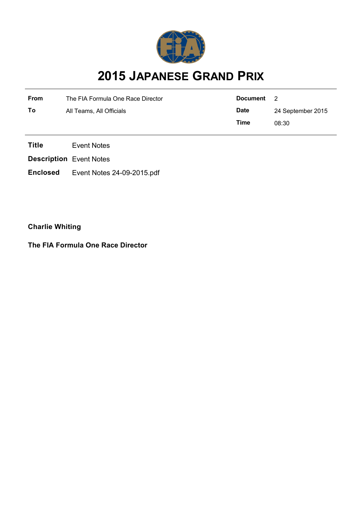

# **2015 JAPANESE GRAND PRIX**

| <b>From</b> | The FIA Formula One Race Director | Document    | - 2               |
|-------------|-----------------------------------|-------------|-------------------|
| To          | All Teams, All Officials          | <b>Date</b> | 24 September 2015 |
|             |                                   | Time        | 08:30             |

**Title** Event Notes

**Description** Event Notes

**Enclosed** Event Notes 24-09-2015.pdf

**Charlie Whiting**

**The FIA Formula One Race Director**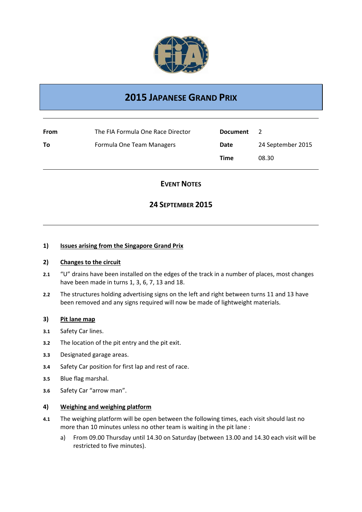

# **2015 JAPANESE GRAND PRIX**

| From | The FIA Formula One Race Director | <b>Document</b> | $\mathbf{z}$      |
|------|-----------------------------------|-----------------|-------------------|
| To   | Formula One Team Managers         | Date            | 24 September 2015 |
|      |                                   | Time            | 08.30             |

## **EVENT NOTES**

### **24 SEPTEMBER 2015**

#### **1) Issues arising from the Singapore Grand Prix**

#### **2) Changes to the circuit**

- **2.1** "U" drains have been installed on the edges of the track in a number of places, most changes have been made in turns 1, 3, 6, 7, 13 and 18.
- **2.2** The structures holding advertising signs on the left and right between turns 11 and 13 have been removed and any signs required will now be made of lightweight materials.

#### **3) Pit lane map**

- **3.1** Safety Car lines.
- **3.2** The location of the pit entry and the pit exit.
- **3.3** Designated garage areas.
- **3.4** Safety Car position for first lap and rest of race.
- **3.5** Blue flag marshal.
- **3.6** Safety Car "arrow man".

#### **4) Weighing and weighing platform**

- **4.1** The weighing platform will be open between the following times, each visit should last no more than 10 minutes unless no other team is waiting in the pit lane :
	- a) From 09.00 Thursday until 14.30 on Saturday (between 13.00 and 14.30 each visit will be restricted to five minutes).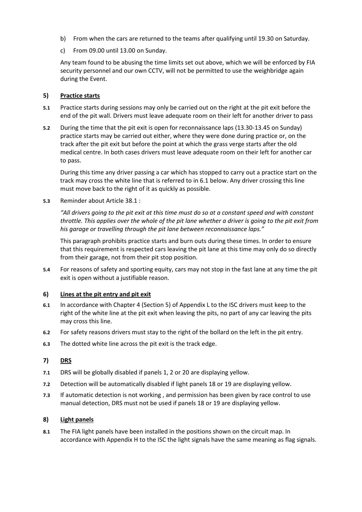- b) From when the cars are returned to the teams after qualifying until 19.30 on Saturday.
- c) From 09.00 until 13.00 on Sunday.

Any team found to be abusing the time limits set out above, which we will be enforced by FIA security personnel and our own CCTV, will not be permitted to use the weighbridge again during the Event.

#### **5) Practice starts**

- **5.1** Practice starts during sessions may only be carried out on the right at the pit exit before the end of the pit wall. Drivers must leave adequate room on their left for another driver to pass
- **5.2** During the time that the pit exit is open for reconnaissance laps (13.30-13.45 on Sunday) practice starts may be carried out either, where they were done during practice or, on the track after the pit exit but before the point at which the grass verge starts after the old medical centre. In both cases drivers must leave adequate room on their left for another car to pass.

During this time any driver passing a car which has stopped to carry out a practice start on the track may cross the white line that is referred to in 6.1 below. Any driver crossing this line must move back to the right of it as quickly as possible.

**5.3** Reminder about Article 38.1 :

*"All drivers going to the pit exit at this time must do so at a constant speed and with constant throttle. This applies over the whole of the pit lane whether a driver is going to the pit exit from his garage or travelling through the pit lane between reconnaissance laps."*

This paragraph prohibits practice starts and burn outs during these times. In order to ensure that this requirement is respected cars leaving the pit lane at this time may only do so directly from their garage, not from their pit stop position.

**5.4** For reasons of safety and sporting equity, cars may not stop in the fast lane at any time the pit exit is open without a justifiable reason.

#### **6) Lines at the pit entry and pit exit**

- **6.1** In accordance with Chapter 4 (Section 5) of Appendix L to the ISC drivers must keep to the right of the white line at the pit exit when leaving the pits, no part of any car leaving the pits may cross this line.
- **6.2** For safety reasons drivers must stay to the right of the bollard on the left in the pit entry.
- **6.3** The dotted white line across the pit exit is the track edge.

#### **7) DRS**

- **7.1** DRS will be globally disabled if panels 1, 2 or 20 are displaying yellow.
- **7.2** Detection will be automatically disabled if light panels 18 or 19 are displaying yellow.
- **7.3** If automatic detection is not working , and permission has been given by race control to use manual detection, DRS must not be used if panels 18 or 19 are displaying yellow.

#### **8) Light panels**

**8.1** The FIA light panels have been installed in the positions shown on the circuit map. In accordance with Appendix H to the ISC the light signals have the same meaning as flag signals.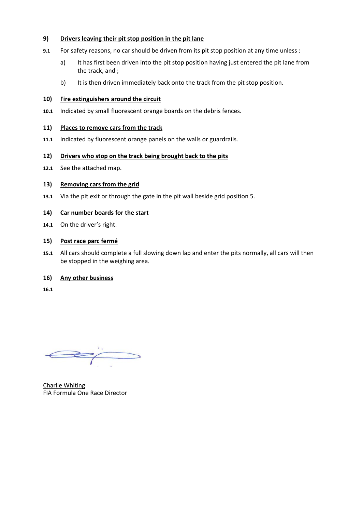#### **9) Drivers leaving their pit stop position in the pit lane**

- **9.1** For safety reasons, no car should be driven from its pit stop position at any time unless :
	- a) It has first been driven into the pit stop position having just entered the pit lane from the track, and ;
	- b) It is then driven immediately back onto the track from the pit stop position.

#### **10) Fire extinguishers around the circuit**

**10.1** Indicated by small fluorescent orange boards on the debris fences.

#### **11) Places to remove cars from the track**

**11.1** Indicated by fluorescent orange panels on the walls or guardrails.

#### **12) Drivers who stop on the track being brought back to the pits**

**12.1** See the attached map.

#### **13) Removing cars from the grid**

**13.1** Via the pit exit or through the gate in the pit wall beside grid position 5.

#### **14) Car number boards for the start**

**14.1** On the driver's right.

#### **15) Post race parc fermé**

**15.1** All cars should complete a full slowing down lap and enter the pits normally, all cars will then be stopped in the weighing area.

#### **16) Any other business**

**16.1**

 $\Longleftrightarrow$ 

Charlie Whiting FIA Formula One Race Director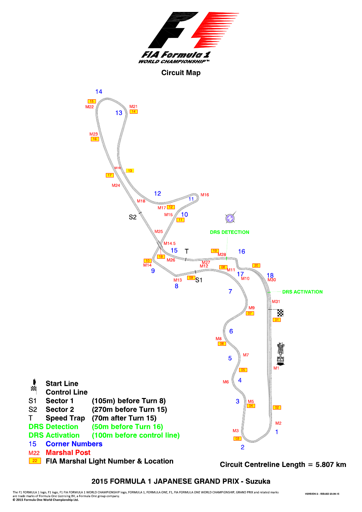

#### **Circuit Map**



2015 FORMULA 1 JAPANESE GRAND PRIX - Suzuka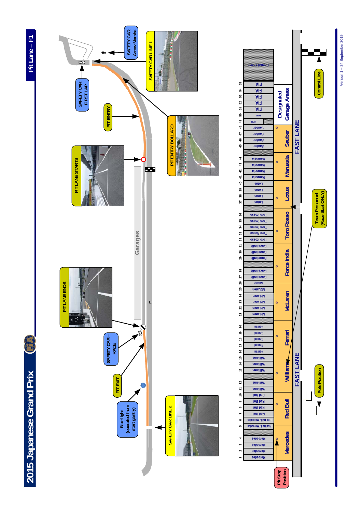